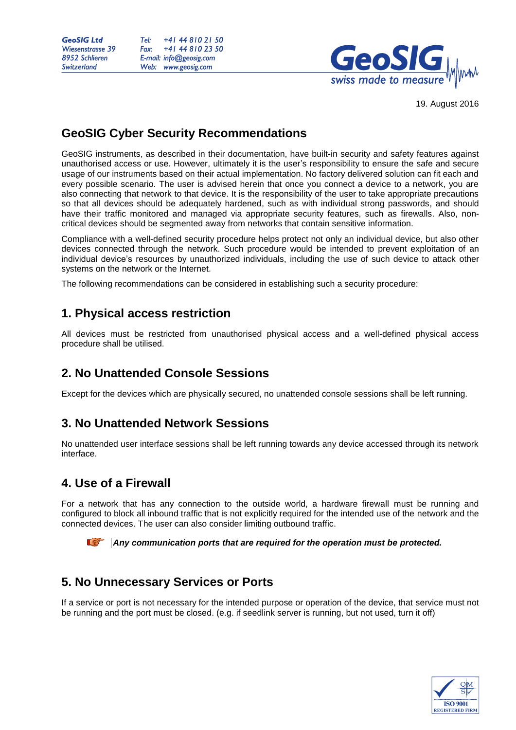**GeoSIG Ltd Wiesenstrasse 39** 8952 Schlieren Switzerland

 $+41448102150$  $T_{\mathbf{P}}$ +41 44 810 23 50 Fax: E-mail: info@geosig.com Web: www.geosig.com



19. August 2016

### **GeoSIG Cyber Security Recommendations**

GeoSIG instruments, as described in their documentation, have built-in security and safety features against unauthorised access or use. However, ultimately it is the user's responsibility to ensure the safe and secure usage of our instruments based on their actual implementation. No factory delivered solution can fit each and every possible scenario. The user is advised herein that once you connect a device to a network, you are also connecting that network to that device. It is the responsibility of the user to take appropriate precautions so that all devices should be adequately hardened, such as with individual strong passwords, and should have their traffic monitored and managed via appropriate security features, such as firewalls. Also, noncritical devices should be segmented away from networks that contain sensitive information.

Compliance with a well-defined security procedure helps protect not only an individual device, but also other devices connected through the network. Such procedure would be intended to prevent exploitation of an individual device's resources by unauthorized individuals, including the use of such device to attack other systems on the network or the Internet.

The following recommendations can be considered in establishing such a security procedure:

#### **1. Physical access restriction**

All devices must be restricted from unauthorised physical access and a well-defined physical access procedure shall be utilised.

#### **2. No Unattended Console Sessions**

Except for the devices which are physically secured, no unattended console sessions shall be left running.

#### **3. No Unattended Network Sessions**

No unattended user interface sessions shall be left running towards any device accessed through its network interface.

#### **4. Use of a Firewall**

For a network that has any connection to the outside world, a hardware firewall must be running and configured to block all inbound traffic that is not explicitly required for the intended use of the network and the connected devices. The user can also consider limiting outbound traffic.

*Any communication ports that are required for the operation must be protected.*

## **5. No Unnecessary Services or Ports**

If a service or port is not necessary for the intended purpose or operation of the device, that service must not be running and the port must be closed. (e.g. if seedlink server is running, but not used, turn it off)